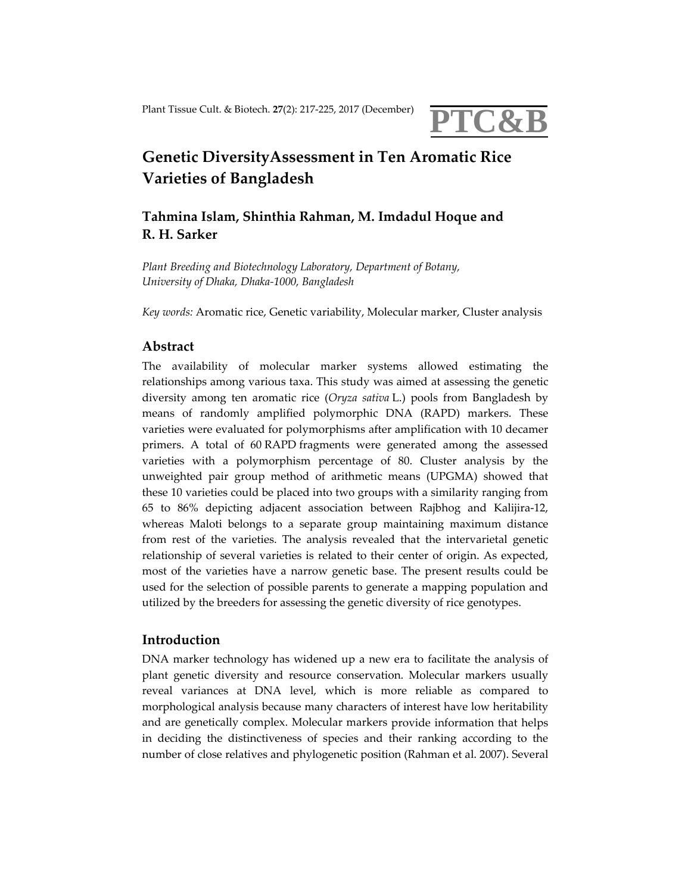

# **Genetic DiversityAssessment in Ten Aromatic Rice Varieties of Bangladesh**

## **Tahmina Islam, Shinthia Rahman, M. Imdadul Hoque and R. H. Sarker**

*Plant Breeding and Biotechnology Laboratory, Department of Botany, University of Dhaka, Dhaka‐1000, Bangladesh*

*Key words:* Aromatic rice, Genetic variability, Molecular marker, Cluster analysis

### **Abstract**

The availability of molecular marker systems allowed estimating the relationships among various taxa. This study was aimed at assessing the genetic diversity among ten aromatic rice (*Oryza sativa* L.) pools from Bangladesh by means of randomly amplified polymorphic DNA (RAPD) markers. These varieties were evaluated for polymorphisms after amplification with 10 decamer primers. A total of 60 RAPD fragments were generated among the assessed varieties with a polymorphism percentage of 80. Cluster analysis by the unweighted pair group method of arithmetic means (UPGMA) showed that these 10 varieties could be placed into two groups with a similarity ranging from 65 to 86% depicting adjacent association between Rajbhog and Kalijira‐12, whereas Maloti belongs to a separate group maintaining maximum distance from rest of the varieties. The analysis revealed that the intervarietal genetic relationship of several varieties is related to their center of origin. As expected, most of the varieties have a narrow genetic base. The present results could be used for the selection of possible parents to generate a mapping population and utilized by the breeders for assessing the genetic diversity of rice genotypes.

#### **Introduction**

DNA marker technology has widened up a new era to facilitate the analysis of plant genetic diversity and resource conservation. Molecular markers usually reveal variances at DNA level, which is more reliable as compared to morphological analysis because many characters of interest have low heritability and are genetically complex. Molecular markers provide information that helps in deciding the distinctiveness of species and their ranking according to the number of close relatives and phylogenetic position (Rahman et al. 2007). Several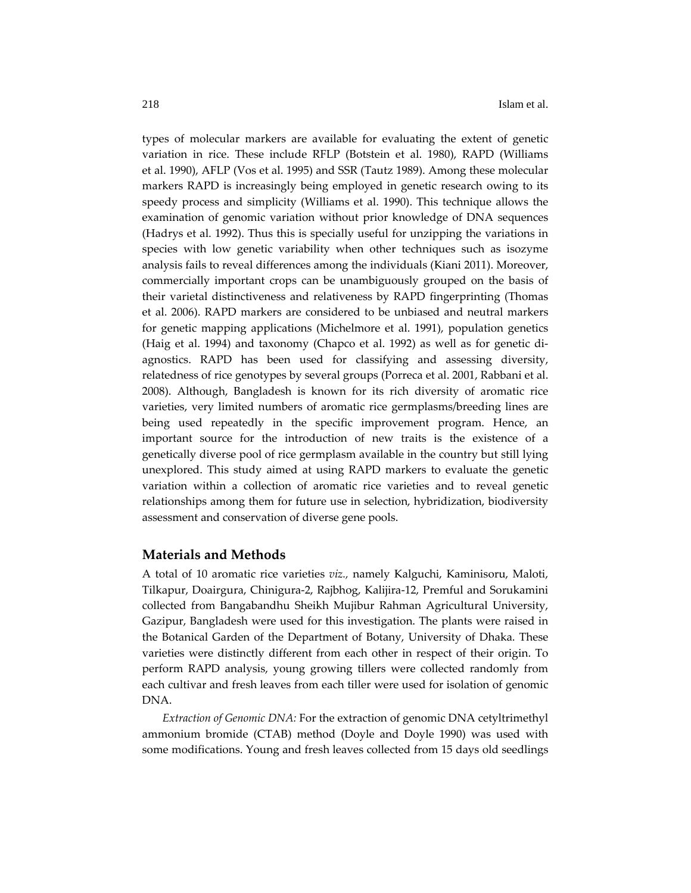types of molecular markers are available for evaluating the extent of genetic variation in rice. These include RFLP (Botstein et al. 1980), RAPD (Williams et al. 1990), AFLP (Vos et al. 1995) and SSR (Tautz 1989). Among these molecular markers RAPD is increasingly being employed in genetic research owing to its speedy process and simplicity (Williams et al. 1990). This technique allows the examination of genomic variation without prior knowledge of DNA sequences (Hadrys et al. 1992). Thus this is specially useful for unzipping the variations in species with low genetic variability when other techniques such as isozyme analysis fails to reveal differences among the individuals (Kiani 2011). Moreover, commercially important crops can be unambiguously grouped on the basis of their varietal distinctiveness and relativeness by RAPD fingerprinting (Thomas et al. 2006). RAPD markers are considered to be unbiased and neutral markers for genetic mapping applications (Michelmore et al. 1991), population genetics (Haig et al. 1994) and taxonomy (Chapco et al. 1992) as well as for genetic di‐ agnostics. RAPD has been used for classifying and assessing diversity, relatedness of rice genotypes by several groups (Porreca et al. 2001, Rabbani et al. 2008). Although, Bangladesh is known for its rich diversity of aromatic rice varieties, very limited numbers of aromatic rice germplasms/breeding lines are being used repeatedly in the specific improvement program. Hence, an important source for the introduction of new traits is the existence of a genetically diverse pool of rice germplasm available in the country but still lying unexplored. This study aimed at using RAPD markers to evaluate the genetic variation within a collection of aromatic rice varieties and to reveal genetic relationships among them for future use in selection, hybridization, biodiversity assessment and conservation of diverse gene pools.

#### **Materials and Methods**

A total of 10 aromatic rice varieties *viz.,* namely Kalguchi, Kaminisoru, Maloti, Tilkapur, Doairgura, Chinigura‐2, Rajbhog, Kalijira‐12, Premful and Sorukamini collected from Bangabandhu Sheikh Mujibur Rahman Agricultural University, Gazipur, Bangladesh were used for this investigation. The plants were raised in the Botanical Garden of the Department of Botany, University of Dhaka. These varieties were distinctly different from each other in respect of their origin. To perform RAPD analysis, young growing tillers were collected randomly from each cultivar and fresh leaves from each tiller were used for isolation of genomic DNA.

*Extraction of Genomic DNA:* For the extraction of genomic DNA cetyltrimethyl ammonium bromide (CTAB) method (Doyle and Doyle 1990) was used with some modifications. Young and fresh leaves collected from 15 days old seedlings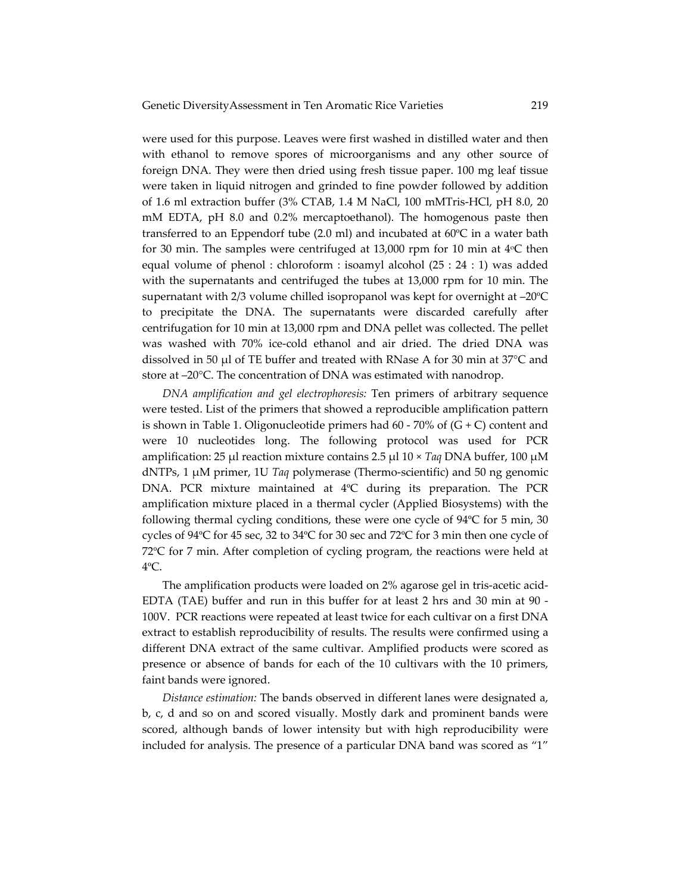were used for this purpose. Leaves were first washed in distilled water and then with ethanol to remove spores of microorganisms and any other source of foreign DNA. They were then dried using fresh tissue paper. 100 mg leaf tissue were taken in liquid nitrogen and grinded to fine powder followed by addition of 1.6 ml extraction buffer (3% CTAB, 1.4 M NaCl, 100 mMTris‐HCl, pH 8.0, 20 mM EDTA, pH 8.0 and 0.2% mercaptoethanol). The homogenous paste then transferred to an Eppendorf tube  $(2.0 \text{ ml})$  and incubated at  $60^{\circ}\text{C}$  in a water bath for 30 min. The samples were centrifuged at 13,000 rpm for 10 min at  $4^{\circ}$ C then equal volume of phenol : chloroform : isoamyl alcohol (25 : 24 : 1) was added with the supernatants and centrifuged the tubes at 13,000 rpm for 10 min. The supernatant with 2/3 volume chilled isopropanol was kept for overnight at –20ºC to precipitate the DNA. The supernatants were discarded carefully after centrifugation for 10 min at 13,000 rpm and DNA pellet was collected. The pellet was washed with 70% ice‐cold ethanol and air dried. The dried DNA was dissolved in 50 μl of TE buffer and treated with RNase A for 30 min at 37°C and store at –20°C. The concentration of DNA was estimated with nanodrop.

*DNA amplification and gel electrophoresis:* Ten primers of arbitrary sequence were tested. List of the primers that showed a reproducible amplification pattern is shown in Table 1. Oligonucleotide primers had  $60 - 70\%$  of  $(G + C)$  content and were 10 nucleotides long. The following protocol was used for PCR amplification: 25 μl reaction mixture contains 2.5 μl 10 × *Taq* DNA buffer, 100 μM dNTPs, 1 μM primer, 1U *Taq* polymerase (Thermo‐scientific) and 50 ng genomic DNA. PCR mixture maintained at 4ºC during its preparation. The PCR amplification mixture placed in a thermal cycler (Applied Biosystems) with the following thermal cycling conditions, these were one cycle of 94ºC for 5 min, 30 cycles of 94ºC for 45 sec, 32 to 34ºC for 30 sec and 72ºC for 3 min then one cycle of 72ºC for 7 min. After completion of cycling program, the reactions were held at 4ºC.

The amplification products were loaded on 2% agarose gel in tris-acetic acid-EDTA (TAE) buffer and run in this buffer for at least 2 hrs and 30 min at 90 ‐ 100V. PCR reactions were repeated at least twice for each cultivar on a first DNA extract to establish reproducibility of results. The results were confirmed using a different DNA extract of the same cultivar. Amplified products were scored as presence or absence of bands for each of the 10 cultivars with the 10 primers, faint bands were ignored.

*Distance estimation:* The bands observed in different lanes were designated a, b, c, d and so on and scored visually. Mostly dark and prominent bands were scored, although bands of lower intensity but with high reproducibility were included for analysis. The presence of a particular DNA band was scored as "1"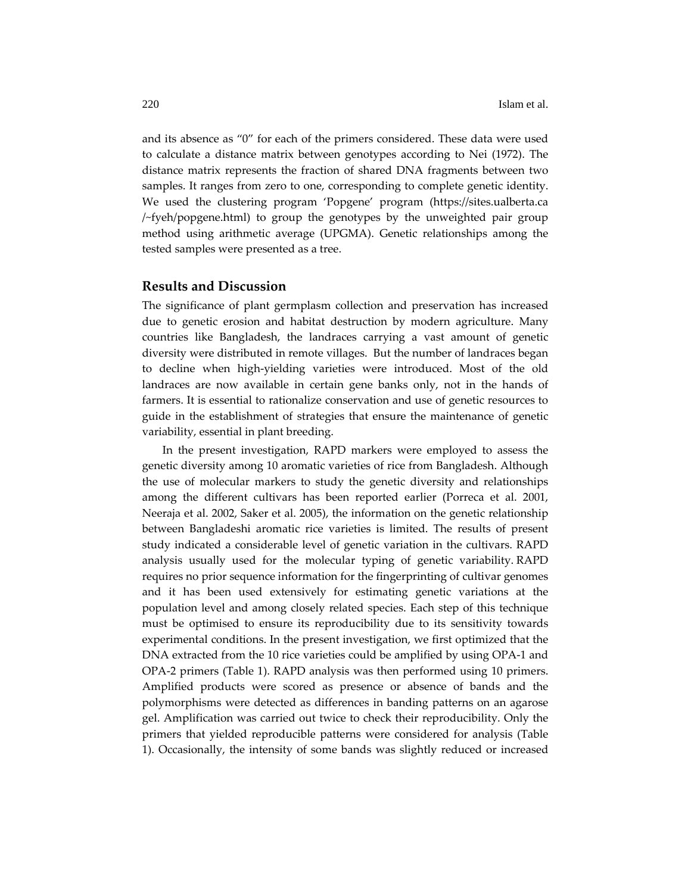and its absence as "0" for each of the primers considered. These data were used to calculate a distance matrix between genotypes according to Nei (1972). The distance matrix represents the fraction of shared DNA fragments between two samples. It ranges from zero to one, corresponding to complete genetic identity. We used the clustering program 'Popgene' program (https://sites.ualberta.ca /~fyeh/popgene.html) to group the genotypes by the unweighted pair group method using arithmetic average (UPGMA). Genetic relationships among the tested samples were presented as a tree.

#### **Results and Discussion**

The significance of plant germplasm collection and preservation has increased due to genetic erosion and habitat destruction by modern agriculture. Many countries like Bangladesh, the landraces carrying a vast amount of genetic diversity were distributed in remote villages. But the number of landraces began to decline when high‐yielding varieties were introduced. Most of the old landraces are now available in certain gene banks only, not in the hands of farmers. It is essential to rationalize conservation and use of genetic resources to guide in the establishment of strategies that ensure the maintenance of genetic variability, essential in plant breeding.

In the present investigation, RAPD markers were employed to assess the genetic diversity among 10 aromatic varieties of rice from Bangladesh. Although the use of molecular markers to study the genetic diversity and relationships among the different cultivars has been reported earlier (Porreca et al. 2001, Neeraja et al. 2002, Saker et al. 2005), the information on the genetic relationship between Bangladeshi aromatic rice varieties is limited. The results of present study indicated a considerable level of genetic variation in the cultivars. RAPD analysis usually used for the molecular typing of genetic variability. RAPD requires no prior sequence information for the fingerprinting of cultivar genomes and it has been used extensively for estimating genetic variations at the population level and among closely related species. Each step of this technique must be optimised to ensure its reproducibility due to its sensitivity towards experimental conditions. In the present investigation, we first optimized that the DNA extracted from the 10 rice varieties could be amplified by using OPA‐1 and OPA‐2 primers (Table 1). RAPD analysis was then performed using 10 primers. Amplified products were scored as presence or absence of bands and the polymorphisms were detected as differences in banding patterns on an agarose gel. Amplification was carried out twice to check their reproducibility. Only the primers that yielded reproducible patterns were considered for analysis (Table 1). Occasionally, the intensity of some bands was slightly reduced or increased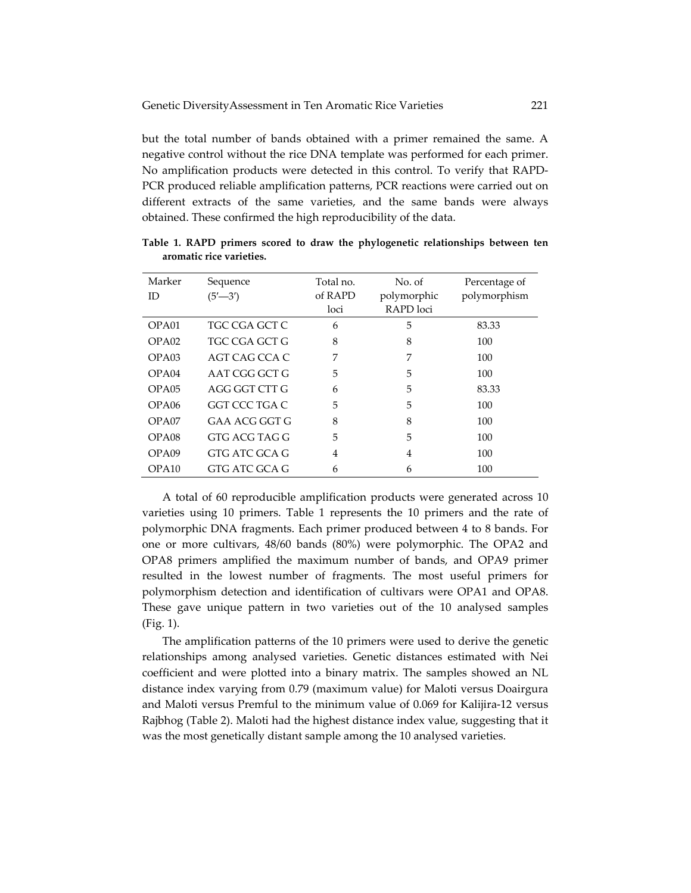but the total number of bands obtained with a primer remained the same. A negative control without the rice DNA template was performed for each primer. No amplification products were detected in this control. To verify that RAPD‐ PCR produced reliable amplification patterns, PCR reactions were carried out on different extracts of the same varieties, and the same bands were always obtained. These confirmed the high reproducibility of the data.

| Marker<br>ID      | Sequence<br>$(5' - 3')$ | Total no.<br>of RAPD<br>loci | No. of<br>polymorphic<br>RAPD loci | Percentage of<br>polymorphism |
|-------------------|-------------------------|------------------------------|------------------------------------|-------------------------------|
| OPA <sub>01</sub> | TGC CGA GCT C           | 6                            | 5                                  | 83.33                         |
| OPA02             | TGC CGA GCT G           | 8                            | 8                                  | 100                           |
| OPA03             | AGT CAG CCA C           | 7                            | 7                                  | 100                           |
| OPA04             | AAT CGG GCT G           | 5                            | 5                                  | 100                           |
| OPA05             | AGG GGT CTT G           | 6                            | 5                                  | 83.33                         |
| OPA <sub>06</sub> | GGT CCC TGA C           | 5                            | 5                                  | 100                           |
| OPA07             | GAA ACG GGT G           | 8                            | 8                                  | 100                           |
| OPA <sub>08</sub> | GTG ACG TAG G           | 5                            | 5                                  | 100                           |
| OPA09             | GTG ATC GCA G           | $\overline{4}$               | 4                                  | 100                           |
| OPA10             | GTG ATC GCA G           | 6                            | 6                                  | 100                           |

**Table 1. RAPD primers scored to draw the phylogenetic relationships between ten aromatic rice varieties.**

A total of 60 reproducible amplification products were generated across 10 varieties using 10 primers. Table 1 represents the 10 primers and the rate of polymorphic DNA fragments. Each primer produced between 4 to 8 bands. For one or more cultivars, 48/60 bands (80%) were polymorphic. The OPA2 and OPA8 primers amplified the maximum number of bands, and OPA9 primer resulted in the lowest number of fragments. The most useful primers for polymorphism detection and identification of cultivars were OPA1 and OPA8. These gave unique pattern in two varieties out of the 10 analysed samples (Fig. 1).

The amplification patterns of the 10 primers were used to derive the genetic relationships among analysed varieties. Genetic distances estimated with Nei coefficient and were plotted into a binary matrix. The samples showed an NL distance index varying from 0.79 (maximum value) for Maloti versus Doairgura and Maloti versus Premful to the minimum value of 0.069 for Kalijira‐12 versus Rajbhog (Table 2). Maloti had the highest distance index value, suggesting that it was the most genetically distant sample among the 10 analysed varieties.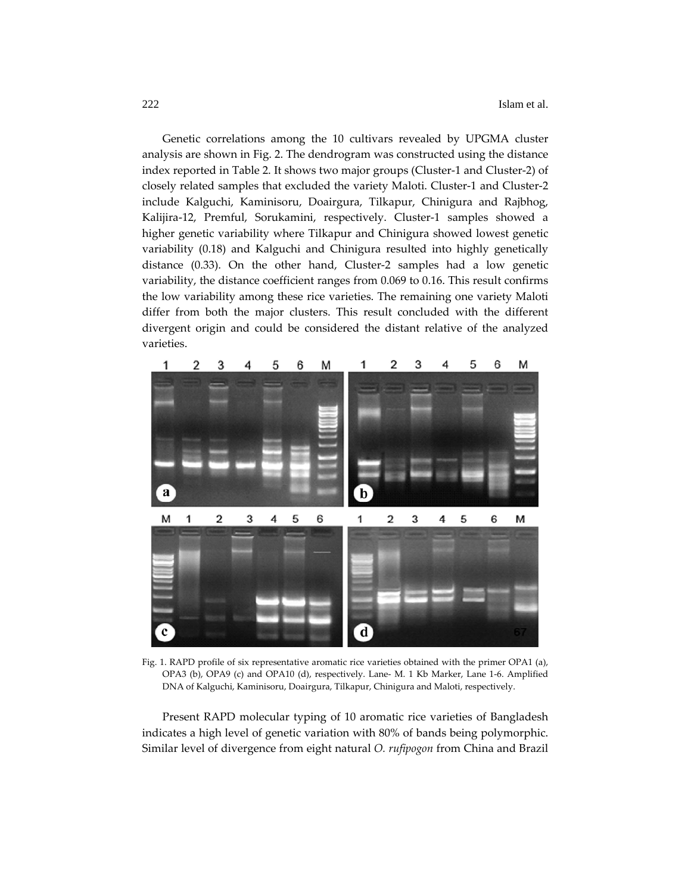Genetic correlations among the 10 cultivars revealed by UPGMA cluster analysis are shown in Fig. 2. The dendrogram was constructed using the distance index reported in Table 2. It shows two major groups (Cluster‐1 and Cluster‐2) of closely related samples that excluded the variety Maloti. Cluster‐1 and Cluster‐2 include Kalguchi, Kaminisoru, Doairgura, Tilkapur, Chinigura and Rajbhog, Kalijira‐12, Premful, Sorukamini, respectively. Cluster‐1 samples showed a higher genetic variability where Tilkapur and Chinigura showed lowest genetic variability (0.18) and Kalguchi and Chinigura resulted into highly genetically distance (0.33). On the other hand, Cluster‐2 samples had a low genetic variability, the distance coefficient ranges from 0.069 to 0.16. This result confirms the low variability among these rice varieties. The remaining one variety Maloti differ from both the major clusters. This result concluded with the different divergent origin and could be considered the distant relative of the analyzed varieties.



Fig. 1. RAPD profile of six representative aromatic rice varieties obtained with the primer OPA1 (a), OPA3 (b), OPA9 (c) and OPA10 (d), respectively. Lane‐ M. 1 Kb Marker, Lane 1‐6. Amplified DNA of Kalguchi, Kaminisoru, Doairgura, Tilkapur, Chinigura and Maloti, respectively.

Present RAPD molecular typing of 10 aromatic rice varieties of Bangladesh indicates a high level of genetic variation with 80% of bands being polymorphic. Similar level of divergence from eight natural *O. rufipogon* from China and Brazil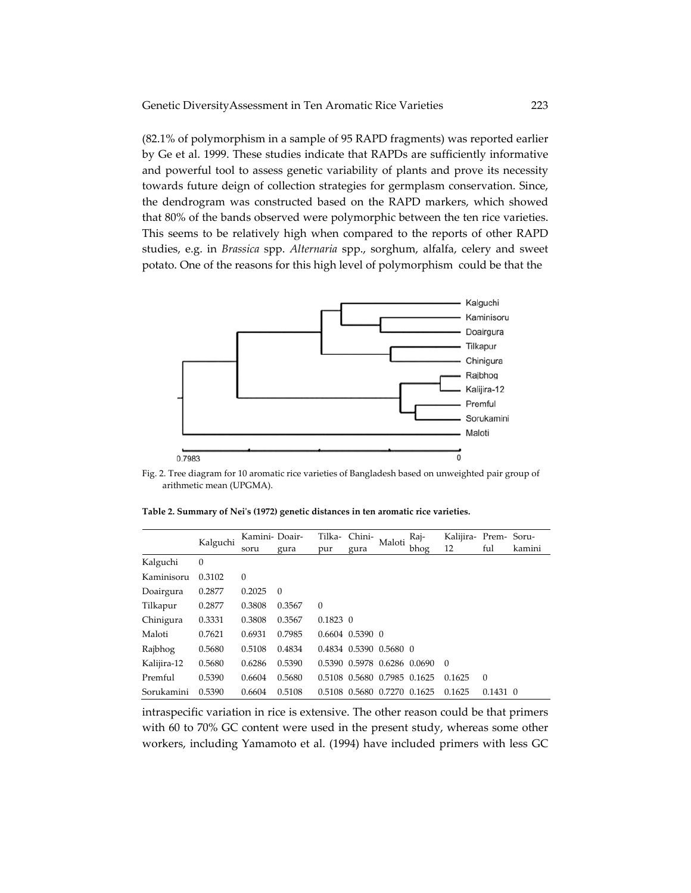(82.1% of polymorphism in a sample of 95 RAPD fragments) was reported earlier by Ge et al. 1999. These studies indicate that RAPDs are sufficiently informative and powerful tool to assess genetic variability of plants and prove its necessity towards future deign of collection strategies for germplasm conservation. Since, the dendrogram was constructed based on the RAPD markers, which showed that 80% of the bands observed were polymorphic between the ten rice varieties. This seems to be relatively high when compared to the reports of other RAPD studies, e.g. in *Brassica* spp. *Alternaria* spp., sorghum, alfalfa, celery and sweet potato. One of the reasons for this high level of polymorphism could be that the



Fig. 2. Tree diagram for 10 aromatic rice varieties of Bangladesh based on unweighted pair group of arithmetic mean (UPGMA).

**Table 2. Summary of Neiʹs (1972) genetic distances in ten aromatic rice varieties.**

|             | Kalguchi     | Kamini- Doair- |          |            | Tilka- Chini-       | Maloti                      | Raj- | Kalijira- Prem- Soru- |            |        |
|-------------|--------------|----------------|----------|------------|---------------------|-----------------------------|------|-----------------------|------------|--------|
|             |              | soru           | gura     | pur        | gura                |                             | bhog | 12                    | ful        | kamini |
| Kalguchi    | $\mathbf{0}$ |                |          |            |                     |                             |      |                       |            |        |
| Kaminisoru  | 0.3102       | $\theta$       |          |            |                     |                             |      |                       |            |        |
| Doairgura   | 0.2877       | 0.2025         | $\Omega$ |            |                     |                             |      |                       |            |        |
| Tilkapur    | 0.2877       | 0.3808         | 0.3567   | $\theta$   |                     |                             |      |                       |            |        |
| Chinigura   | 0.3331       | 0.3808         | 0.3567   | $0.1823$ 0 |                     |                             |      |                       |            |        |
| Maloti      | 0.7621       | 0.6931         | 0.7985   |            | $0.6604$ $0.5390$ 0 |                             |      |                       |            |        |
| Rajbhog     | 0.5680       | 0.5108         | 0.4834   |            |                     | 0.4834 0.5390 0.5680 0      |      |                       |            |        |
| Kalijira-12 | 0.5680       | 0.6286         | 0.5390   |            |                     | 0.5390 0.5978 0.6286 0.0690 |      | $\Omega$              |            |        |
| Premful     | 0.5390       | 0.6604         | 0.5680   |            |                     | 0.5108 0.5680 0.7985 0.1625 |      | 0.1625                | $\Omega$   |        |
| Sorukamini  | 0.5390       | 0.6604         | 0.5108   | 0.5108     |                     | 0.5680 0.7270 0.1625        |      | 0.1625                | $0.1431$ 0 |        |

intraspecific variation in rice is extensive. The other reason could be that primers with 60 to 70% GC content were used in the present study, whereas some other workers, including Yamamoto et al. (1994) have included primers with less GC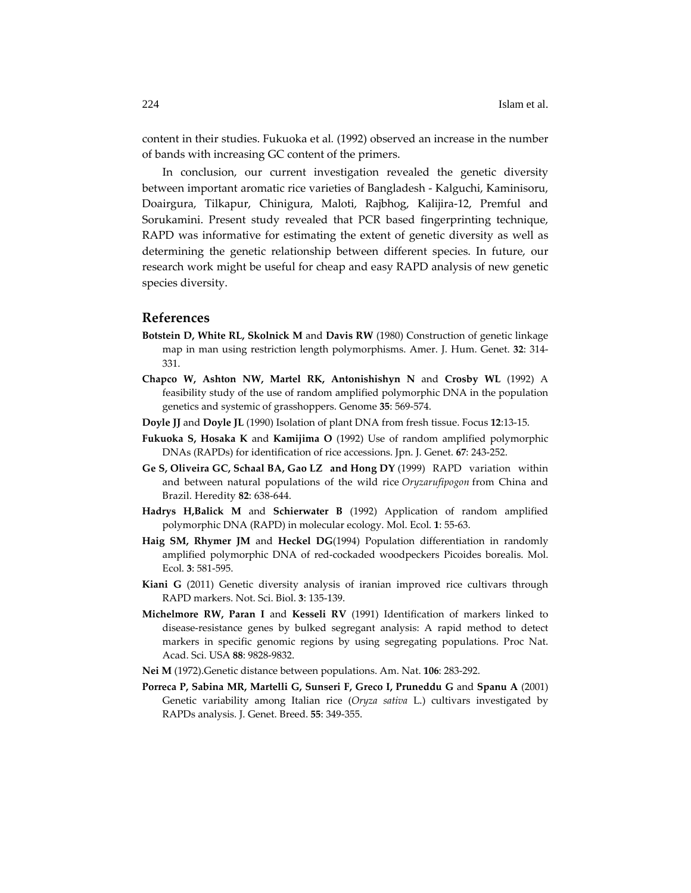content in their studies. Fukuoka et al*.* (1992) observed an increase in the number of bands with increasing GC content of the primers.

In conclusion, our current investigation revealed the genetic diversity between important aromatic rice varieties of Bangladesh ‐ Kalguchi, Kaminisoru, Doairgura, Tilkapur, Chinigura, Maloti, Rajbhog, Kalijira‐12, Premful and Sorukamini. Present study revealed that PCR based fingerprinting technique, RAPD was informative for estimating the extent of genetic diversity as well as determining the genetic relationship between different species. In future, our research work might be useful for cheap and easy RAPD analysis of new genetic species diversity.

#### **References**

- **Botstein D, White RL, Skolnick M** and **Davis RW** (1980) Construction of genetic linkage map in man using restriction length polymorphisms. Amer. J. Hum. Genet. **32**: 314‐ 331.
- **Chapco W, Ashton NW, Martel RK, Antonishishyn N** and **Crosby WL** (1992) A feasibility study of the use of random amplified polymorphic DNA in the population genetics and systemic of grasshoppers. Genome **35**: 569‐574.
- **Doyle JJ** and **Doyle JL** (1990) Isolation of plant DNA from fresh tissue. Focus **12**:13‐15.
- **Fukuoka S, Hosaka K** and **Kamijima O** (1992) Use of random amplified polymorphic DNAs (RAPDs) for identification of rice accessions. Jpn. J. Genet. **67**: 243‐252.
- **Ge S, Oliveira GC, Schaal BA, Gao LZ and Hong DY** (1999) RAPD variation within and between natural populations of the wild rice *Oryzarufipogon* from China and Brazil. Heredity **82**: 638‐644.
- **Hadrys H,Balick M** and **Schierwater B** (1992) Application of random amplified polymorphic DNA (RAPD) in molecular ecology. Mol. Ecol. **1**: 55‐63.
- **Haig SM, Rhymer JM** and **Heckel DG**(1994) Population differentiation in randomly amplified polymorphic DNA of red‐cockaded woodpeckers Picoides borealis. Mol. Ecol. **3**: 581‐595.
- **Kiani G** (2011) Genetic diversity analysis of iranian improved rice cultivars through RAPD markers. Not. Sci. Biol. **3**: 135‐139.
- **Michelmore RW, Paran I** and **Kesseli RV** (1991) Identification of markers linked to disease‐resistance genes by bulked segregant analysis: A rapid method to detect markers in specific genomic regions by using segregating populations. Proc Nat. Acad. Sci. USA **88**: 9828‐9832.
- **Nei M** (1972).Genetic distance between populations. Am. Nat. **106**: 283‐292.
- **Porreca P, Sabina MR, Martelli G, Sunseri F, Greco I, Pruneddu G** and **Spanu A** (2001) Genetic variability among Italian rice (*Oryza sativa* L.) cultivars investigated by RAPDs analysis. J. Genet. Breed. **55**: 349‐355.